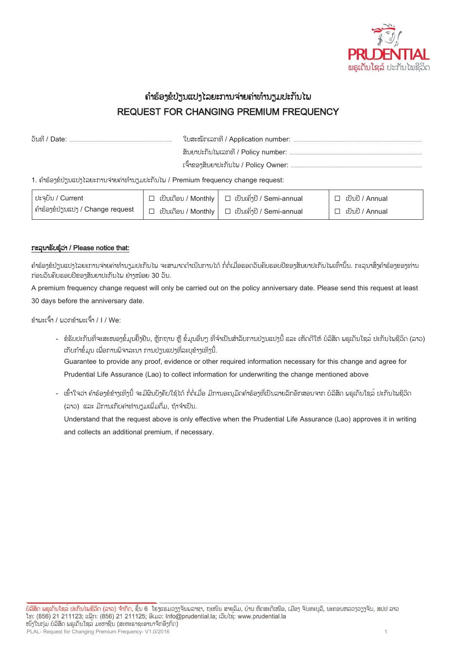

## ຄ ຳຮ້ອງຂໍປ່ຽນແປງໄລຍະກຳນຈ່ຳຍຄ່ຳທ ຳນຽມປະກັນໄພ REQUEST FOR CHANGING PREMIUM FREQUENCY

| 1. ຄໍາຮ້ອງຂໍປ່ຽນແປງໄລຍະການຈ່າຍຄ່າທໍານຽມປະກັນໄພ / Premium frequency change request: |  |                                                                |                                        |  |  |
|------------------------------------------------------------------------------------|--|----------------------------------------------------------------|----------------------------------------|--|--|
| $ $ $ $ $ $ ะจุบับ / Current                                                       |  | $\Box$ (ปั๊บเก็จบ / Monthly $\Box$ (ปั๊บเล็่งปี / Sami-annual) | $\Box$ $\cup$ $\Omega$ $\cup$ $\Omega$ |  |  |

| <sup> </sup> ปะจุบับ / Current   | │ □   ເປັນເດືອນ / Monthly │ □  ເປັນເຄິ່ງປີ / Semi-annual    |                        |
|----------------------------------|-------------------------------------------------------------|------------------------|
| ຄຳຮ້ອງຂໍປ່ຽນແປງ / Change request | $\Box$ ເປັນເດືອນ / Monthly $\Box$ ເປັນເຄິ່ງປີ / Semi-annual | $\Box$ เป็นปี / Annual |

## ກະລຸນາຮັບຮູ້ວ່າ / Please notice that:

ຄຳຮ້ອງຂໍປ່ຽນແປງໄລຍະການຈ່າຍຄ່າທຳນຽມປະກັນໄພ ຈະສາມາດດຳເນີນການໄດ້ ກໍ່ຕໍ່ເມື່ອຮອດວັນຄົບຮອບປີຂອງສັນຍາປະກັນໄພເທົ່ານັ້ນ. ກະລນາສິ່ງຄຳຮ້ອງຂອງທ່ານ ກ່ອນວັນຄົບຮອບປີຂອງສັນຍາປະກັນໄພ ຢ່າງໜ້ອຍ 30 ວັນ.

A premium frequency change request will only be carried out on the policy anniversary date. Please send this request at least 30 days before the anniversary date.

ຂ້າພະເຈົ້າ / ພວກຂ້າພະເຈົ້າ / I / We:

- ຂໍຮັບປະກັນທີ່ຈະສະໜອງຂໍ້ມູນຢັ້ງຢືນ, ຫຼັກຖານ ຫຼື ຂໍ້ມູນອື່ນໆ ທີ່ຈຳເປັນສຳລັບການປ່ຽນແປງນີ້ ແລະ ເຫັດດີໃຫ້ ບໍລິສັດ ພຣູເດັນໂຊລ໌ ປະກັນໄພຊີວິດ (ລາວ) ເກັບກຳຂໍ້ມູນ ເພື່ອການພິຈາລະນາ ການປ່ຽນແປງທີ່ລະບຸຂ້າງເທິງນີ້. Guarantee to provide any proof, evidence or other required information necessary for this change and agree for Prudential Life Assurance (Lao) to collect information for underwriting the change mentioned above
- ເຂົ້າໃຈວ່າ ຄຳຮ້ອງຂໍຂ້າງເທິງນີ້ ຈະມີຜິນບັງຄັບໃຊ້ໄດ້ ກໍ່ຕໍ່ເມື່ອ ມີການອະນຸມັດຄຳຮ້ອງທີ່ເປັນລາຍລັກອັກສອນຈາກ ບໍລິສັດ ພຣູເດັນໂຊລ໌ ປະກັນໄພຊີວິດ (ລາວ) ແລະ ມີການເກັບຄ່າທຳນຽມເພີ່ມຕື່ມ, ຖ້າຈຳເປັນ.

Understand that the request above is only effective when the Prudential Life Assurance (Lao) approves it in writing and collects an additional premium, if necessary.